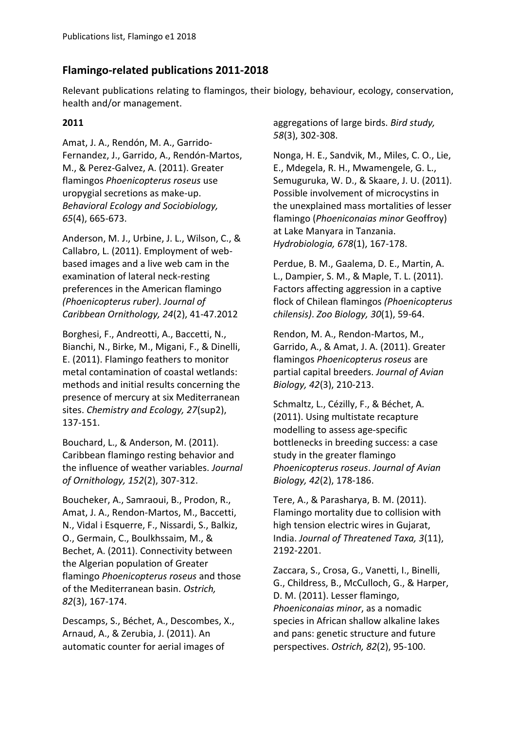# **Flamingo-related publications 2011-2018**

Relevant publications relating to flamingos, their biology, behaviour, ecology, conservation, health and/or management.

#### **2011**

Amat, J. A., Rendón, M. A., Garrido-Fernandez, J., Garrido, A., Rendón-Martos, M., & Perez-Galvez, A. (2011). Greater flamingos *Phoenicopterus roseus* use uropygial secretions as make-up. *Behavioral Ecology and Sociobiology, 65*(4), 665-673.

Anderson, M. J., Urbine, J. L., Wilson, C., & Callabro, L. (2011). Employment of webbased images and a live web cam in the examination of lateral neck-resting preferences in the American flamingo *(Phoenicopterus ruber)*. *Journal of Caribbean Ornithology, 24*(2), 41-47.2012

Borghesi, F., Andreotti, A., Baccetti, N., Bianchi, N., Birke, M., Migani, F., & Dinelli, E. (2011). Flamingo feathers to monitor metal contamination of coastal wetlands: methods and initial results concerning the presence of mercury at six Mediterranean sites. *Chemistry and Ecology, 27*(sup2), 137-151.

Bouchard, L., & Anderson, M. (2011). Caribbean flamingo resting behavior and the influence of weather variables. *Journal of Ornithology, 152*(2), 307-312.

Boucheker, A., Samraoui, B., Prodon, R., Amat, J. A., Rendon-Martos, M., Baccetti, N., Vidal i Esquerre, F., Nissardi, S., Balkiz, O., Germain, C., Boulkhssaim, M., & Bechet, A. (2011). Connectivity between the Algerian population of Greater flamingo *Phoenicopterus roseus* and those of the Mediterranean basin. *Ostrich, 82*(3), 167-174.

Descamps, S., Béchet, A., Descombes, X., Arnaud, A., & Zerubia, J. (2011). An automatic counter for aerial images of

aggregations of large birds. *Bird study, 58*(3), 302-308.

Nonga, H. E., Sandvik, M., Miles, C. O., Lie, E., Mdegela, R. H., Mwamengele, G. L., Semuguruka, W. D., & Skaare, J. U. (2011). Possible involvement of microcystins in the unexplained mass mortalities of lesser flamingo (*Phoeniconaias minor* Geoffroy) at Lake Manyara in Tanzania. *Hydrobiologia, 678*(1), 167-178.

Perdue, B. M., Gaalema, D. E., Martin, A. L., Dampier, S. M., & Maple, T. L. (2011). Factors affecting aggression in a captive flock of Chilean flamingos *(Phoenicopterus chilensis)*. *Zoo Biology, 30*(1), 59-64.

Rendon, M. A., Rendon-Martos, M., Garrido, A., & Amat, J. A. (2011). Greater flamingos *Phoenicopterus roseus* are partial capital breeders. *Journal of Avian Biology, 42*(3), 210-213.

Schmaltz, L., Cézilly, F., & Béchet, A. (2011). Using multistate recapture modelling to assess age‐specific bottlenecks in breeding success: a case study in the greater flamingo *Phoenicopterus roseus*. *Journal of Avian Biology, 42*(2), 178-186.

Tere, A., & Parasharya, B. M. (2011). Flamingo mortality due to collision with high tension electric wires in Gujarat, India. *Journal of Threatened Taxa, 3*(11), 2192-2201.

Zaccara, S., Crosa, G., Vanetti, I., Binelli, G., Childress, B., McCulloch, G., & Harper, D. M. (2011). Lesser flamingo, *Phoeniconaias minor*, as a nomadic species in African shallow alkaline lakes and pans: genetic structure and future perspectives. *Ostrich, 82*(2), 95-100.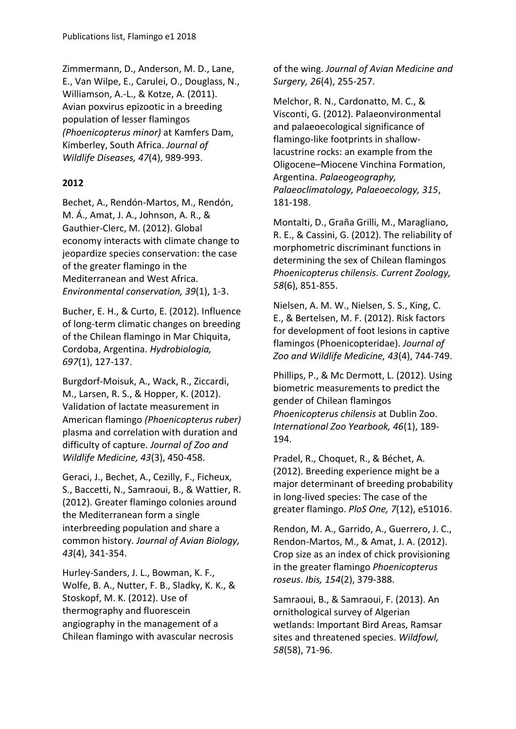Zimmermann, D., Anderson, M. D., Lane, E., Van Wilpe, E., Carulei, O., Douglass, N., Williamson, A.-L., & Kotze, A. (2011). Avian poxvirus epizootic in a breeding population of lesser flamingos *(Phoenicopterus minor)* at Kamfers Dam, Kimberley, South Africa. *Journal of Wildlife Diseases, 47*(4), 989-993.

#### **2012**

Bechet, A., Rendón-Martos, M., Rendón, M. Á., Amat, J. A., Johnson, A. R., & Gauthier-Clerc, M. (2012). Global economy interacts with climate change to jeopardize species conservation: the case of the greater flamingo in the Mediterranean and West Africa. *Environmental conservation, 39*(1), 1-3.

Bucher, E. H., & Curto, E. (2012). Influence of long-term climatic changes on breeding of the Chilean flamingo in Mar Chiquita, Cordoba, Argentina. *Hydrobiologia, 697*(1), 127-137.

Burgdorf-Moisuk, A., Wack, R., Ziccardi, M., Larsen, R. S., & Hopper, K. (2012). Validation of lactate measurement in American flamingo *(Phoenicopterus ruber)* plasma and correlation with duration and difficulty of capture. *Journal of Zoo and Wildlife Medicine, 43*(3), 450-458.

Geraci, J., Bechet, A., Cezilly, F., Ficheux, S., Baccetti, N., Samraoui, B., & Wattier, R. (2012). Greater flamingo colonies around the Mediterranean form a single interbreeding population and share a common history. *Journal of Avian Biology, 43*(4), 341-354.

Hurley-Sanders, J. L., Bowman, K. F., Wolfe, B. A., Nutter, F. B., Sladky, K. K., & Stoskopf, M. K. (2012). Use of thermography and fluorescein angiography in the management of a Chilean flamingo with avascular necrosis

of the wing. *Journal of Avian Medicine and Surgery, 26*(4), 255-257.

Melchor, R. N., Cardonatto, M. C., & Visconti, G. (2012). Palaeonvironmental and palaeoecological significance of flamingo-like footprints in shallowlacustrine rocks: an example from the Oligocene–Miocene Vinchina Formation, Argentina. *Palaeogeography, Palaeoclimatology, Palaeoecology, 315*, 181-198.

Montalti, D., Graña Grilli, M., Maragliano, R. E., & Cassini, G. (2012). The reliability of morphometric discriminant functions in determining the sex of Chilean flamingos *Phoenicopterus chilensis*. *Current Zoology, 58*(6), 851-855.

Nielsen, A. M. W., Nielsen, S. S., King, C. E., & Bertelsen, M. F. (2012). Risk factors for development of foot lesions in captive flamingos (Phoenicopteridae). *Journal of Zoo and Wildlife Medicine, 43*(4), 744-749.

Phillips, P., & Mc Dermott, L. (2012). Using biometric measurements to predict the gender of Chilean flamingos *Phoenicopterus chilensis* at Dublin Zoo. *International Zoo Yearbook, 46*(1), 189- 194.

Pradel, R., Choquet, R., & Béchet, A. (2012). Breeding experience might be a major determinant of breeding probability in long-lived species: The case of the greater flamingo. *PloS One, 7*(12), e51016.

Rendon, M. A., Garrido, A., Guerrero, J. C., Rendon-Martos, M., & Amat, J. A. (2012). Crop size as an index of chick provisioning in the greater flamingo *Phoenicopterus roseus*. *Ibis, 154*(2), 379-388.

Samraoui, B., & Samraoui, F. (2013). An ornithological survey of Algerian wetlands: Important Bird Areas, Ramsar sites and threatened species. *Wildfowl, 58*(58), 71-96.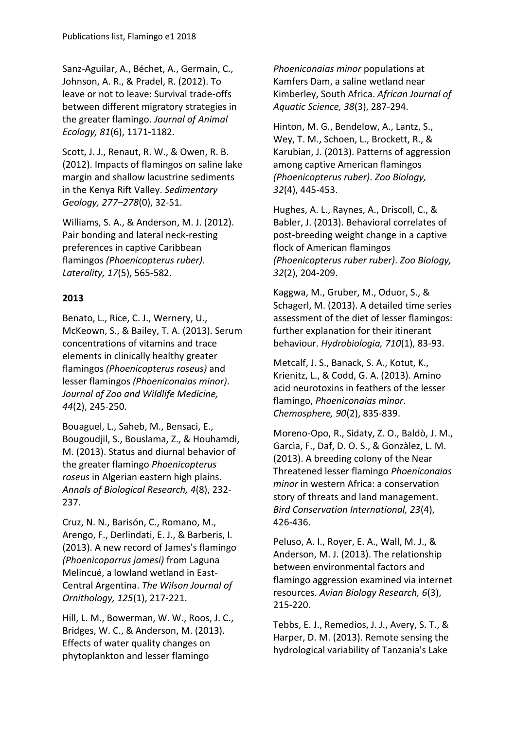Sanz-Aguilar, A., Béchet, A., Germain, C., Johnson, A. R., & Pradel, R. (2012). To leave or not to leave: Survival trade-offs between different migratory strategies in the greater flamingo. *Journal of Animal Ecology, 81*(6), 1171-1182.

Scott, J. J., Renaut, R. W., & Owen, R. B. (2012). Impacts of flamingos on saline lake margin and shallow lacustrine sediments in the Kenya Rift Valley. *Sedimentary Geology, 277–278*(0), 32-51.

Williams, S. A., & Anderson, M. J. (2012). Pair bonding and lateral neck-resting preferences in captive Caribbean flamingos *(Phoenicopterus ruber)*. *Laterality, 17*(5), 565-582.

## **2013**

Benato, L., Rice, C. J., Wernery, U., McKeown, S., & Bailey, T. A. (2013). Serum concentrations of vitamins and trace elements in clinically healthy greater flamingos *(Phoenicopterus roseus)* and lesser flamingos *(Phoeniconaias minor)*. *Journal of Zoo and Wildlife Medicine, 44*(2), 245-250.

Bouaguel, L., Saheb, M., Bensaci, E., Bougoudjil, S., Bouslama, Z., & Houhamdi, M. (2013). Status and diurnal behavior of the greater flamingo *Phoenicopterus roseus* in Algerian eastern high plains. *Annals of Biological Research, 4*(8), 232- 237.

Cruz, N. N., Barisón, C., Romano, M., Arengo, F., Derlindati, E. J., & Barberis, I. (2013). A new record of James's flamingo *(Phoenicoparrus jamesi)* from Laguna Melincué, a lowland wetland in East-Central Argentina. *The Wilson Journal of Ornithology, 125*(1), 217-221.

Hill, L. M., Bowerman, W. W., Roos, J. C., Bridges, W. C., & Anderson, M. (2013). Effects of water quality changes on phytoplankton and lesser flamingo

*Phoeniconaias minor* populations at Kamfers Dam, a saline wetland near Kimberley, South Africa. *African Journal of Aquatic Science, 38*(3), 287-294.

Hinton, M. G., Bendelow, A., Lantz, S., Wey, T. M., Schoen, L., Brockett, R., & Karubian, J. (2013). Patterns of aggression among captive American flamingos *(Phoenicopterus ruber)*. *Zoo Biology, 32*(4), 445-453.

Hughes, A. L., Raynes, A., Driscoll, C., & Babler, J. (2013). Behavioral correlates of post-breeding weight change in a captive flock of American flamingos *(Phoenicopterus ruber ruber)*. *Zoo Biology, 32*(2), 204-209.

Kaggwa, M., Gruber, M., Oduor, S., & Schagerl, M. (2013). A detailed time series assessment of the diet of lesser flamingos: further explanation for their itinerant behaviour. *Hydrobiologia, 710*(1), 83-93.

Metcalf, J. S., Banack, S. A., Kotut, K., Krienitz, L., & Codd, G. A. (2013). Amino acid neurotoxins in feathers of the lesser flamingo, *Phoeniconaias minor*. *Chemosphere, 90*(2), 835-839.

Moreno-Opo, R., Sidaty, Z. O., Baldò, J. M., Garcìa, F., Daf, D. O. S., & Gonzàlez, L. M. (2013). A breeding colony of the Near Threatened lesser flamingo *Phoeniconaias minor* in western Africa: a conservation story of threats and land management. *Bird Conservation International, 23*(4), 426-436.

Peluso, A. I., Royer, E. A., Wall, M. J., & Anderson, M. J. (2013). The relationship between environmental factors and flamingo aggression examined via internet resources. *Avian Biology Research, 6*(3), 215-220.

Tebbs, E. J., Remedios, J. J., Avery, S. T., & Harper, D. M. (2013). Remote sensing the hydrological variability of Tanzania's Lake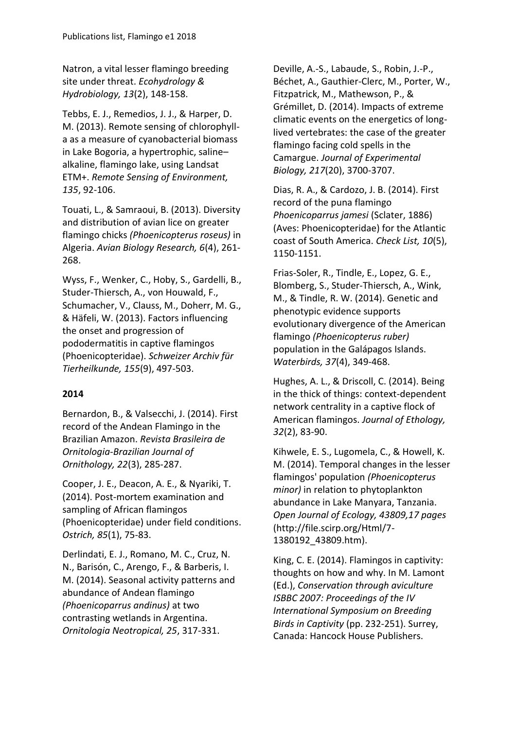Natron, a vital lesser flamingo breeding site under threat. *Ecohydrology & Hydrobiology, 13*(2), 148-158.

Tebbs, E. J., Remedios, J. J., & Harper, D. M. (2013). Remote sensing of chlorophylla as a measure of cyanobacterial biomass in Lake Bogoria, a hypertrophic, saline– alkaline, flamingo lake, using Landsat ETM+. *Remote Sensing of Environment, 135*, 92-106.

Touati, L., & Samraoui, B. (2013). Diversity and distribution of avian lice on greater flamingo chicks *(Phoenicopterus roseus)* in Algeria. *Avian Biology Research, 6*(4), 261- 268.

Wyss, F., Wenker, C., Hoby, S., Gardelli, B., Studer-Thiersch, A., von Houwald, F., Schumacher, V., Clauss, M., Doherr, M. G., & Häfeli, W. (2013). Factors influencing the onset and progression of pododermatitis in captive flamingos (Phoenicopteridae). *Schweizer Archiv für Tierheilkunde, 155*(9), 497-503.

## **2014**

Bernardon, B., & Valsecchi, J. (2014). First record of the Andean Flamingo in the Brazilian Amazon. *Revista Brasileira de Ornitologia-Brazilian Journal of Ornithology, 22*(3), 285-287.

Cooper, J. E., Deacon, A. E., & Nyariki, T. (2014). Post-mortem examination and sampling of African flamingos (Phoenicopteridae) under field conditions. *Ostrich, 85*(1), 75-83.

Derlindati, E. J., Romano, M. C., Cruz, N. N., Barisón, C., Arengo, F., & Barberis, I. M. (2014). Seasonal activity patterns and abundance of Andean flamingo *(Phoenicoparrus andinus)* at two contrasting wetlands in Argentina. *Ornitologia Neotropical, 25*, 317-331.

Deville, A.-S., Labaude, S., Robin, J.-P., Béchet, A., Gauthier-Clerc, M., Porter, W., Fitzpatrick, M., Mathewson, P., & Grémillet, D. (2014). Impacts of extreme climatic events on the energetics of longlived vertebrates: the case of the greater flamingo facing cold spells in the Camargue. *Journal of Experimental Biology, 217*(20), 3700-3707.

Dias, R. A., & Cardozo, J. B. (2014). First record of the puna flamingo *Phoenicoparrus jamesi* (Sclater, 1886) (Aves: Phoenicopteridae) for the Atlantic coast of South America. *Check List, 10*(5), 1150-1151.

Frias-Soler, R., Tindle, E., Lopez, G. E., Blomberg, S., Studer-Thiersch, A., Wink, M., & Tindle, R. W. (2014). Genetic and phenotypic evidence supports evolutionary divergence of the American flamingo *(Phoenicopterus ruber)* population in the Galápagos Islands. *Waterbirds, 37*(4), 349-468.

Hughes, A. L., & Driscoll, C. (2014). Being in the thick of things: context-dependent network centrality in a captive flock of American flamingos. *Journal of Ethology, 32*(2), 83-90.

Kihwele, E. S., Lugomela, C., & Howell, K. M. (2014). Temporal changes in the lesser flamingos' population *(Phoenicopterus minor)* in relation to phytoplankton abundance in Lake Manyara, Tanzania. *Open Journal of Ecology, 43809,17 pages*  (http://file.scirp.org/Html/7- 1380192\_43809.htm).

King, C. E. (2014). Flamingos in captivity: thoughts on how and why. In M. Lamont (Ed.), *Conservation through aviculture ISBBC 2007: Proceedings of the IV International Symposium on Breeding Birds in Captivity* (pp. 232-251). Surrey, Canada: Hancock House Publishers.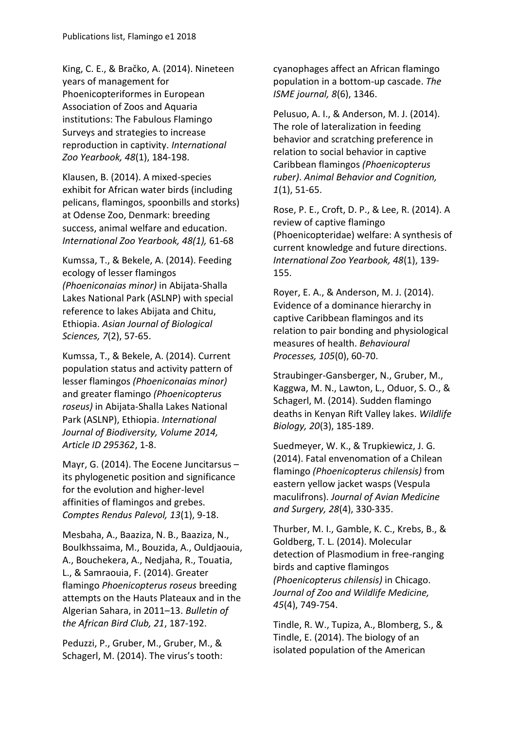King, C. E., & Bračko, A. (2014). Nineteen years of management for Phoenicopteriformes in European Association of Zoos and Aquaria institutions: The Fabulous Flamingo Surveys and strategies to increase reproduction in captivity. *International Zoo Yearbook, 48*(1), 184-198.

Klausen, B. (2014). A mixed-species exhibit for African water birds (including pelicans, flamingos, spoonbills and storks) at Odense Zoo, Denmark: breeding success, animal welfare and education. *International Zoo Yearbook, 48(1),* 61-68

Kumssa, T., & Bekele, A. (2014). Feeding ecology of lesser flamingos *(Phoeniconaias minor)* in Abijata-Shalla Lakes National Park (ASLNP) with special reference to lakes Abijata and Chitu, Ethiopia. *Asian Journal of Biological Sciences, 7*(2), 57-65.

Kumssa, T., & Bekele, A. (2014). Current population status and activity pattern of lesser flamingos *(Phoeniconaias minor)* and greater flamingo *(Phoenicopterus roseus)* in Abijata-Shalla Lakes National Park (ASLNP), Ethiopia. *International Journal of Biodiversity, Volume 2014, Article ID 295362*, 1-8.

Mayr, G. (2014). The Eocene Juncitarsus – its phylogenetic position and significance for the evolution and higher-level affinities of flamingos and grebes. *Comptes Rendus Palevol, 13*(1), 9-18.

Mesbaha, A., Baaziza, N. B., Baaziza, N., Boulkhssaima, M., Bouzida, A., Ouldjaouia, A., Bouchekera, A., Nedjaha, R., Touatia, L., & Samraouia, F. (2014). Greater flamingo *Phoenicopterus roseus* breeding attempts on the Hauts Plateaux and in the Algerian Sahara, in 2011–13. *Bulletin of the African Bird Club, 21*, 187-192.

Peduzzi, P., Gruber, M., Gruber, M., & Schagerl, M. (2014). The virus's tooth: cyanophages affect an African flamingo population in a bottom-up cascade. *The ISME journal, 8*(6), 1346.

Pelusuo, A. I., & Anderson, M. J. (2014). The role of lateralization in feeding behavior and scratching preference in relation to social behavior in captive Caribbean flamingos *(Phoenicopterus ruber)*. *Animal Behavior and Cognition, 1*(1), 51-65.

Rose, P. E., Croft, D. P., & Lee, R. (2014). A review of captive flamingo (Phoenicopteridae) welfare: A synthesis of current knowledge and future directions. *International Zoo Yearbook, 48*(1), 139- 155.

Royer, E. A., & Anderson, M. J. (2014). Evidence of a dominance hierarchy in captive Caribbean flamingos and its relation to pair bonding and physiological measures of health. *Behavioural Processes, 105*(0), 60-70.

Straubinger-Gansberger, N., Gruber, M., Kaggwa, M. N., Lawton, L., Oduor, S. O., & Schagerl, M. (2014). Sudden flamingo deaths in Kenyan Rift Valley lakes. *Wildlife Biology, 20*(3), 185-189.

Suedmeyer, W. K., & Trupkiewicz, J. G. (2014). Fatal envenomation of a Chilean flamingo *(Phoenicopterus chilensis)* from eastern yellow jacket wasps (Vespula maculifrons). *Journal of Avian Medicine and Surgery, 28*(4), 330-335.

Thurber, M. I., Gamble, K. C., Krebs, B., & Goldberg, T. L. (2014). Molecular detection of Plasmodium in free-ranging birds and captive flamingos *(Phoenicopterus chilensis)* in Chicago. *Journal of Zoo and Wildlife Medicine, 45*(4), 749-754.

Tindle, R. W., Tupiza, A., Blomberg, S., & Tindle, E. (2014). The biology of an isolated population of the American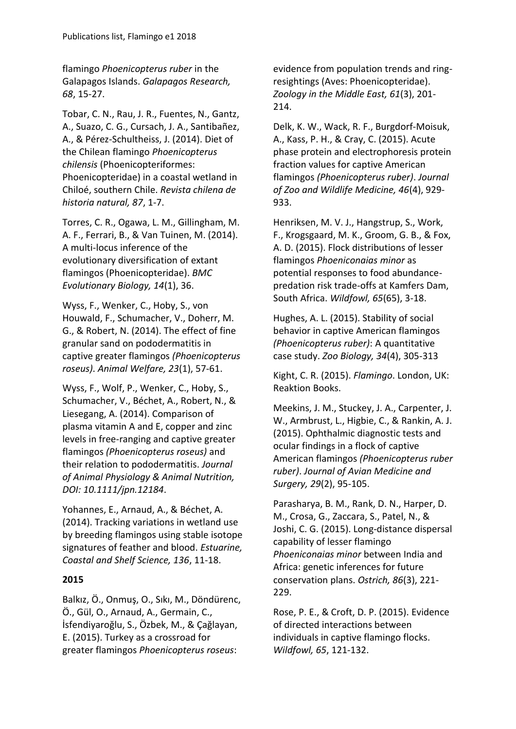flamingo *Phoenicopterus ruber* in the Galapagos Islands. *Galapagos Research, 68*, 15-27.

Tobar, C. N., Rau, J. R., Fuentes, N., Gantz, A., Suazo, C. G., Cursach, J. A., Santibañez, A., & Pérez-Schultheiss, J. (2014). Diet of the Chilean flamingo *Phoenicopterus chilensis* (Phoenicopteriformes: Phoenicopteridae) in a coastal wetland in Chiloé, southern Chile. *Revista chilena de historia natural, 87*, 1-7.

Torres, C. R., Ogawa, L. M., Gillingham, M. A. F., Ferrari, B., & Van Tuinen, M. (2014). A multi-locus inference of the evolutionary diversification of extant flamingos (Phoenicopteridae). *BMC Evolutionary Biology, 14*(1), 36.

Wyss, F., Wenker, C., Hoby, S., von Houwald, F., Schumacher, V., Doherr, M. G., & Robert, N. (2014). The effect of fine granular sand on pododermatitis in captive greater flamingos *(Phoenicopterus roseus)*. *Animal Welfare, 23*(1), 57-61.

Wyss, F., Wolf, P., Wenker, C., Hoby, S., Schumacher, V., Béchet, A., Robert, N., & Liesegang, A. (2014). Comparison of plasma vitamin A and E, copper and zinc levels in free-ranging and captive greater flamingos *(Phoenicopterus roseus)* and their relation to pododermatitis. *Journal of Animal Physiology & Animal Nutrition, DOI: 10.1111/jpn.12184*.

Yohannes, E., Arnaud, A., & Béchet, A. (2014). Tracking variations in wetland use by breeding flamingos using stable isotope signatures of feather and blood. *Estuarine, Coastal and Shelf Science, 136*, 11-18.

#### **2015**

Balkız, Ö., Onmuş, O., Sıkı, M., Döndürenc, Ö., Gül, O., Arnaud, A., Germain, C., İsfendiyaroğlu, S., Özbek, M., & Çağlayan, E. (2015). Turkey as a crossroad for greater flamingos *Phoenicopterus roseus*:

evidence from population trends and ringresightings (Aves: Phoenicopteridae). *Zoology in the Middle East, 61*(3), 201- 214.

Delk, K. W., Wack, R. F., Burgdorf-Moisuk, A., Kass, P. H., & Cray, C. (2015). Acute phase protein and electrophoresis protein fraction values for captive American flamingos *(Phoenicopterus ruber)*. *Journal of Zoo and Wildlife Medicine, 46*(4), 929- 933.

Henriksen, M. V. J., Hangstrup, S., Work, F., Krogsgaard, M. K., Groom, G. B., & Fox, A. D. (2015). Flock distributions of lesser flamingos *Phoeniconaias minor* as potential responses to food abundancepredation risk trade-offs at Kamfers Dam, South Africa. *Wildfowl, 65*(65), 3-18.

Hughes, A. L. (2015). Stability of social behavior in captive American flamingos *(Phoenicopterus ruber)*: A quantitative case study. *Zoo Biology, 34*(4), 305-313

Kight, C. R. (2015). *Flamingo*. London, UK: Reaktion Books.

Meekins, J. M., Stuckey, J. A., Carpenter, J. W., Armbrust, L., Higbie, C., & Rankin, A. J. (2015). Ophthalmic diagnostic tests and ocular findings in a flock of captive American flamingos *(Phoenicopterus ruber ruber)*. *Journal of Avian Medicine and Surgery, 29*(2), 95-105.

Parasharya, B. M., Rank, D. N., Harper, D. M., Crosa, G., Zaccara, S., Patel, N., & Joshi, C. G. (2015). Long-distance dispersal capability of lesser flamingo *Phoeniconaias minor* between India and Africa: genetic inferences for future conservation plans. *Ostrich, 86*(3), 221- 229.

Rose, P. E., & Croft, D. P. (2015). Evidence of directed interactions between individuals in captive flamingo flocks. *Wildfowl, 65*, 121-132.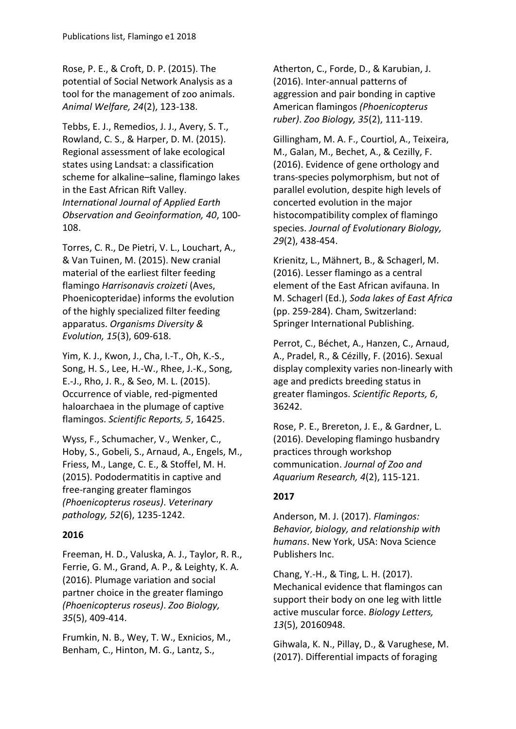Rose, P. E., & Croft, D. P. (2015). The potential of Social Network Analysis as a tool for the management of zoo animals. *Animal Welfare, 24*(2), 123-138.

Tebbs, E. J., Remedios, J. J., Avery, S. T., Rowland, C. S., & Harper, D. M. (2015). Regional assessment of lake ecological states using Landsat: a classification scheme for alkaline–saline, flamingo lakes in the East African Rift Valley. *International Journal of Applied Earth Observation and Geoinformation, 40*, 100- 108.

Torres, C. R., De Pietri, V. L., Louchart, A., & Van Tuinen, M. (2015). New cranial material of the earliest filter feeding flamingo *Harrisonavis croizeti* (Aves, Phoenicopteridae) informs the evolution of the highly specialized filter feeding apparatus. *Organisms Diversity & Evolution, 15*(3), 609-618.

Yim, K. J., Kwon, J., Cha, I.-T., Oh, K.-S., Song, H. S., Lee, H.-W., Rhee, J.-K., Song, E.-J., Rho, J. R., & Seo, M. L. (2015). Occurrence of viable, red-pigmented haloarchaea in the plumage of captive flamingos. *Scientific Reports, 5*, 16425.

Wyss, F., Schumacher, V., Wenker, C., Hoby, S., Gobeli, S., Arnaud, A., Engels, M., Friess, M., Lange, C. E., & Stoffel, M. H. (2015). Pododermatitis in captive and free-ranging greater flamingos *(Phoenicopterus roseus)*. *Veterinary pathology, 52*(6), 1235-1242.

#### **2016**

Freeman, H. D., Valuska, A. J., Taylor, R. R., Ferrie, G. M., Grand, A. P., & Leighty, K. A. (2016). Plumage variation and social partner choice in the greater flamingo *(Phoenicopterus roseus)*. *Zoo Biology, 35*(5), 409-414.

Frumkin, N. B., Wey, T. W., Exnicios, M., Benham, C., Hinton, M. G., Lantz, S.,

Atherton, C., Forde, D., & Karubian, J. (2016). Inter‐annual patterns of aggression and pair bonding in captive American flamingos *(Phoenicopterus ruber)*. *Zoo Biology, 35*(2), 111-119.

Gillingham, M. A. F., Courtiol, A., Teixeira, M., Galan, M., Bechet, A., & Cezilly, F. (2016). Evidence of gene orthology and trans‐species polymorphism, but not of parallel evolution, despite high levels of concerted evolution in the major histocompatibility complex of flamingo species. *Journal of Evolutionary Biology, 29*(2), 438-454.

Krienitz, L., Mähnert, B., & Schagerl, M. (2016). Lesser flamingo as a central element of the East African avifauna. In M. Schagerl (Ed.), *Soda lakes of East Africa* (pp. 259-284). Cham, Switzerland: Springer International Publishing.

Perrot, C., Béchet, A., Hanzen, C., Arnaud, A., Pradel, R., & Cézilly, F. (2016). Sexual display complexity varies non-linearly with age and predicts breeding status in greater flamingos. *Scientific Reports, 6*, 36242.

Rose, P. E., Brereton, J. E., & Gardner, L. (2016). Developing flamingo husbandry practices through workshop communication. *Journal of Zoo and Aquarium Research, 4*(2), 115-121.

## **2017**

Anderson, M. J. (2017). *Flamingos: Behavior, biology, and relationship with humans*. New York, USA: Nova Science Publishers Inc.

Chang, Y.-H., & Ting, L. H. (2017). Mechanical evidence that flamingos can support their body on one leg with little active muscular force. *Biology Letters, 13*(5), 20160948.

Gihwala, K. N., Pillay, D., & Varughese, M. (2017). Differential impacts of foraging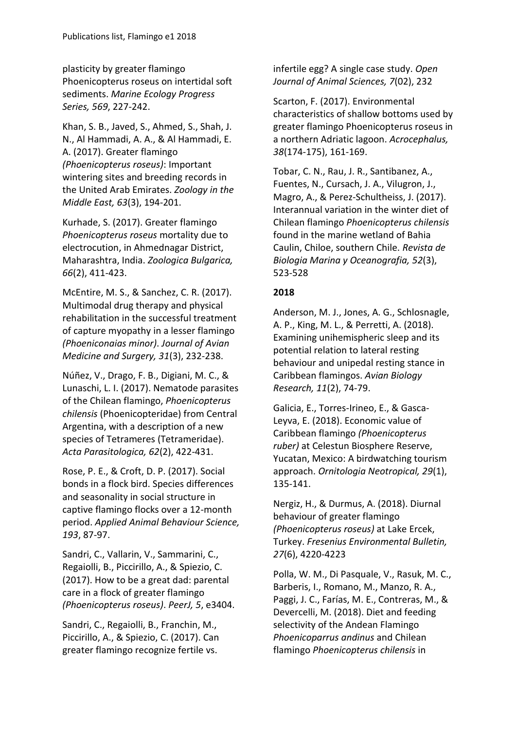plasticity by greater flamingo Phoenicopterus roseus on intertidal soft sediments. *Marine Ecology Progress Series, 569*, 227-242.

Khan, S. B., Javed, S., Ahmed, S., Shah, J. N., Al Hammadi, A. A., & Al Hammadi, E. A. (2017). Greater flamingo *(Phoenicopterus roseus)*: Important wintering sites and breeding records in the United Arab Emirates. *Zoology in the Middle East, 63*(3), 194-201.

Kurhade, S. (2017). Greater flamingo *Phoenicopterus roseus* mortality due to electrocution, in Ahmednagar District, Maharashtra, India. *Zoologica Bulgarica, 66*(2), 411-423.

McEntire, M. S., & Sanchez, C. R. (2017). Multimodal drug therapy and physical rehabilitation in the successful treatment of capture myopathy in a lesser flamingo *(Phoeniconaias minor)*. *Journal of Avian Medicine and Surgery, 31*(3), 232-238.

Núñez, V., Drago, F. B., Digiani, M. C., & Lunaschi, L. I. (2017). Nematode parasites of the Chilean flamingo, *Phoenicopterus chilensis* (Phoenicopteridae) from Central Argentina, with a description of a new species of Tetrameres (Tetrameridae). *Acta Parasitologica, 62*(2), 422-431.

Rose, P. E., & Croft, D. P. (2017). Social bonds in a flock bird. Species differences and seasonality in social structure in captive flamingo flocks over a 12-month period. *Applied Animal Behaviour Science, 193*, 87-97.

Sandri, C., Vallarin, V., Sammarini, C., Regaiolli, B., Piccirillo, A., & Spiezio, C. (2017). How to be a great dad: parental care in a flock of greater flamingo *(Phoenicopterus roseus)*. *PeerJ, 5*, e3404.

Sandri, C., Regaiolli, B., Franchin, M., Piccirillo, A., & Spiezio, C. (2017). Can greater flamingo recognize fertile vs.

infertile egg? A single case study. *Open Journal of Animal Sciences, 7*(02), 232

Scarton, F. (2017). Environmental characteristics of shallow bottoms used by greater flamingo Phoenicopterus roseus in a northern Adriatic lagoon. *Acrocephalus, 38*(174-175), 161-169.

Tobar, C. N., Rau, J. R., Santibanez, A., Fuentes, N., Cursach, J. A., Vilugron, J., Magro, A., & Perez-Schultheiss, J. (2017). Interannual variation in the winter diet of Chilean flamingo *Phoenicopterus chilensis* found in the marine wetland of Bahia Caulin, Chiloe, southern Chile. *Revista de Biologia Marina y Oceanografia, 52*(3), 523-528

## **2018**

Anderson, M. J., Jones, A. G., Schlosnagle, A. P., King, M. L., & Perretti, A. (2018). Examining unihemispheric sleep and its potential relation to lateral resting behaviour and unipedal resting stance in Caribbean flamingos. *Avian Biology Research, 11*(2), 74-79.

Galicia, E., Torres-Irineo, E., & Gasca-Leyva, E. (2018). Economic value of Caribbean flamingo *(Phoenicopterus ruber)* at Celestun Biosphere Reserve, Yucatan, Mexico: A birdwatching tourism approach. *Ornitologia Neotropical, 29*(1), 135-141.

Nergiz, H., & Durmus, A. (2018). Diurnal behaviour of greater flamingo *(Phoenicopterus roseus)* at Lake Ercek, Turkey. *Fresenius Environmental Bulletin, 27*(6), 4220-4223

Polla, W. M., Di Pasquale, V., Rasuk, M. C., Barberis, I., Romano, M., Manzo, R. A., Paggi, J. C., Farías, M. E., Contreras, M., & Devercelli, M. (2018). Diet and feeding selectivity of the Andean Flamingo *Phoenicoparrus andinus* and Chilean flamingo *Phoenicopterus chilensis* in